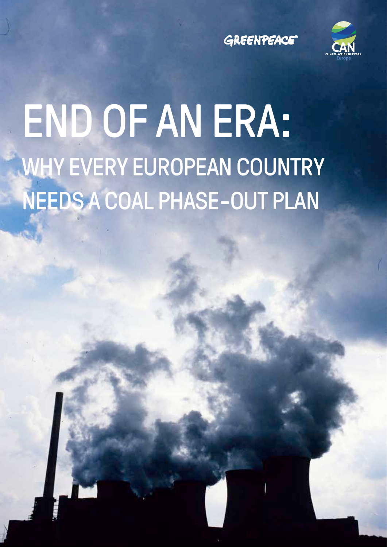



# END OF AN ERA: WHY EVERY EUROPEAN COUNTRY NEEDS A COAL PHASE-OUT PLAN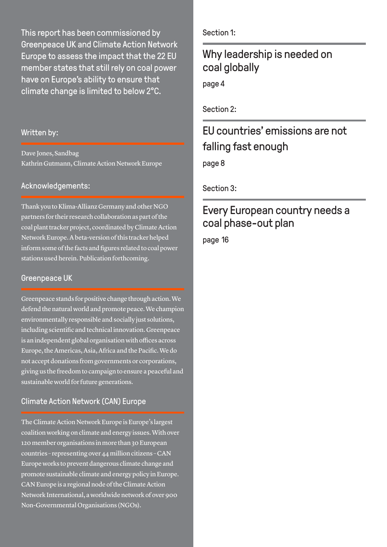This report has been commissioned by Greenpeace UK and Climate Action Network Europe to assess the impact that the 22 EU member states that still rely on coal power have on Europe's ability to ensure that climate change is limited to below 2°C.

#### Written by:

Dave Jones, Sandbag Kathrin Gutmann, Climate Action Network Europe

#### Acknowledgements:

Thank you to Klima-Allianz Germany and other NGO partners for their research collaboration as part of the coal plant tracker project, coordinated by Climate Action Network Europe. A beta-version of this tracker helped inform some of the facts and figures related to coal power stations used herein. Publication forthcoming.

#### Greenpeace UK

Greenpeace stands for positive change through action. We defend the natural world and promote peace. We champion environmentally responsible and socially just solutions, including scientific and technical innovation. Greenpeace is an independent global organisation with offices across Europe, the Americas, Asia, Africa and the Pacific. We do not accept donations from governments or corporations, giving us the freedom to campaign to ensure a peaceful and sustainable world for future generations.

#### Climate Action Network (CAN) Europe

The Climate Action Network Europe is Europe's largest coalition working on climate and energy issues. With over 120 member organisations in more than 30 European countries – representing over 44 million citizens – CAN Europe works to prevent dangerous climate change and promote sustainable climate and energy policy in Europe. CAN Europe is a regional node of the Climate Action Network International, a worldwide network of over 900 Non-Governmental Organisations (NGOs).

Section 1:

### Why leadership is needed on coal globally

page 4

Section 2:

### EU countries' emissions are not falling fast enough

page 8

Section 3:

### Every European country needs a coal phase-out plan

page 16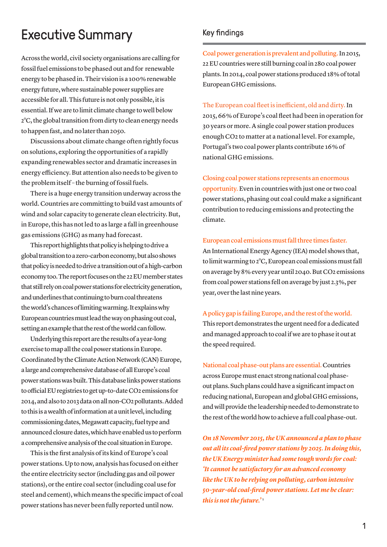# Executive Summary

Across the world, civil society organisations are calling for fossil fuel emissions to be phased out and for renewable energy to be phased in. Their vision is a 100 % renewable energy future, where sustainable power supplies are accessible for all. This future is not only possible, it is essential. If we are to limit climate change to well below 2°C, the global transition from dirty to clean energy needs to happen fast, and no later than 2050.

Discussions about climate change often rightly focus on solutions, exploring the opportunities of a rapidly expanding renewables sector and dramatic increases in energy efficiency. But attention also needs to be given to the problem itself – the burning of fossil fuels.

There is a huge energy transition underway across the world. Countries are committing to build vast amounts of wind and solar capacity to generate clean electricity. But, in Europe, this has not led to as large a fall in greenhouse gas emissions (GHG) as many had forecast.

This report highlights that policy is helping to drive a global transition to a zero-carbon economy, but also shows that policy is needed to drive a transition out of a high-carbon economy too. The report focuses on the 22 EU member states that still rely on coal power stations for electricity generation, and underlines that continuing to burn coal threatens the world's chances of limiting warming. It explains why European countries must lead the way on phasing out coal, setting an example that the rest of the world can follow.

Underlying this report are the results of a year-long exercise to map all the coal power stations in Europe. Coordinated by the Climate Action Network (CAN) Europe, a large and comprehensive database of all Europe's coal power stations was built. This database links power stations to official EU registries to get up-to-date CO2 emissions for 2014, and also to 2013 data on all non-CO2 pollutants. Added to this is a wealth of information at a unit level, including commissioning dates, Megawatt capacity, fuel type and announced closure dates, which have enabled us to perform a comprehensive analysis of the coal situation in Europe.

This is the first analysis of its kind of Europe's coal power stations. Up to now, analysis has focused on either the entire electricity sector (including gas and oil power stations), or the entire coal sector (including coal use for steel and cement), which means the specific impact of coal power stations has never been fully reported until now.

#### Key findings

Coal power generation is prevalent and polluting. In 2015, 22 EU countries were still burning coal in 280 coal power plants. In 2014, coal power stations produced 18 % of total European GHG emissions.

The European coal fleet is inefficient, old and dirty. In 2015, 66 % of Europe's coal fleet had been in operation for 30 years or more. A single coal power station produces enough CO2 to matter at a national level. For example, Portugal's two coal power plants contribute 16 % of national GHG emissions.

Closing coal power stations represents an enormous opportunity. Even in countries with just one or two coal power stations, phasing out coal could make a significant contribution to reducing emissions and protecting the climate.

#### European coal emissions must fall three times faster.

An International Energy Agency (IEA) model shows that, to limit warming to 2°C, European coal emissions must fall on average by 8 % every year until 2040. But CO2 emissions from coal power stations fell on average by just 2.3 %, per year, over the last nine years.

A policy gap is failing Europe, and the rest of the world. This report demonstrates the urgent need for a dedicated and managed approach to coal if we are to phase it out at the speed required.

National coal phase-out plans are essential. Countries across Europe must enact strong national coal phaseout plans. Such plans could have a significant impact on reducing national, European and global GHG emissions, and will provide the leadership needed to demonstrate to the rest of the world how to achieve a full coal phase-out.

*On 18 November 2015, the UK announced a plan to phase out all its coal-fired power stations by 2025. In doing this, the UK Energy minister had some tough words for coal: 'It cannot be satisfactory for an advanced economy like the UK to be relying on polluting, carbon intensive 50-year-old coal-fired power stations. Let me be clear: this is not the future.'* 1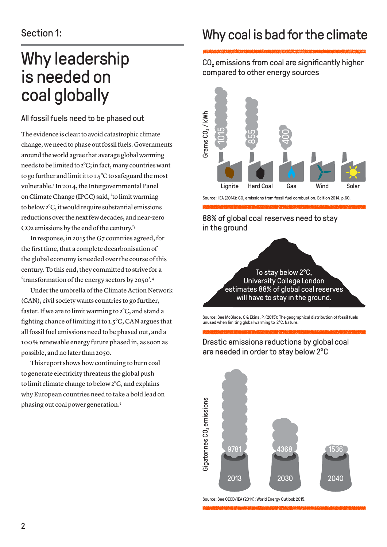# Why leadership is needed on coal globally

#### All fossil fuels need to be phased out

The evidence is clear: to avoid catastrophic climate change, we need to phase out fossil fuels. Governments around the world agree that average global warming needs to be limited to 2°C; in fact, many countries want to go further and limit it to 1.5°C to safeguard the most vulnerable.<sup>2</sup> In 2014, the Intergovernmental Panel on Climate Change (IPCC) said, 'to limit warming to below 2°C, it would require substantial emissions reductions over the next few decades, and near-zero CO2 emissions by the end of the century.'3

In response, in 2015 the G7 countries agreed, for the first time, that a complete decarbonisation of the global economy is needed over the course of this century. To this end, they committed to strive for a 'transformation of the energy sectors by 2050'.4

Under the umbrella of the Climate Action Network (CAN), civil society wants countries to go further, faster. If we are to limit warming to 2°C, and stand a fighting chance of limiting it to 1.5°C, CAN argues that all fossil fuel emissions need to be phased out, and a 100 % renewable energy future phased in, as soon as possible, and no later than 2050.

This report shows how continuing to burn coal to generate electricity threatens the global push to limit climate change to below 2°C, and explains why European countries need to take a bold lead on phasing out coal power generation.5

# Why coal is bad for the climate

CO<sub>2</sub> emissions from coal are significantly higher compared to other energy sources



Source: IEA (2014): CO<sub>2</sub> emissions from fossil fuel combustion. Edition 2014, p.60.

88% of global coal reserves need to stay in the ground

> To stay below 2°C, University College London estimates 88% of global coal reserves will have to stay in the ground.

Source: See McGlade, C & Ekins, P. (2015): The geographical distribution of fossil fuels unused when limiting global warming to 2°C. Nature.



Drastic emissions reductions by global coal are needed in order to stay below 2°C

Source: See OECD/IEA (2014): World Energy Outlook 2015.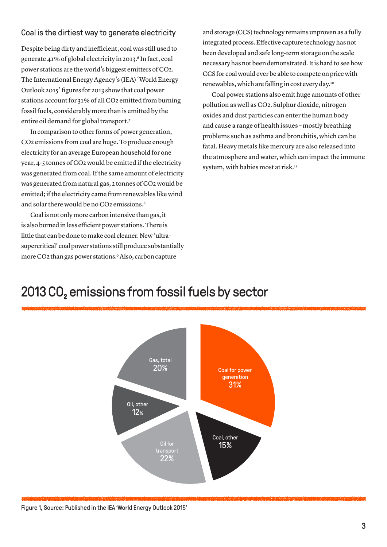#### Coal is the dirtiest way to generate electricity

Despite being dirty and inefficient, coal was still used to generate 41% of global electricity in 2013.<sup>6</sup> In fact, coal power stations are the world's biggest emitters of CO2. The International Energy Agency's (IEA) 'World Energy Outlook 2015' figures for 2013 show that coal power stations account for 31 % of all CO2 emitted from burning fossil fuels, considerably more than is emitted by the entire oil demand for global transport.7

In comparison to other forms of power generation, CO2 emissions from coal are huge. To produce enough electricity for an average European household for one year, 4-5 tonnes of CO2 would be emitted if the electricity was generated from coal. If the same amount of electricity was generated from natural gas, 2 tonnes of CO2 would be emitted; if the electricity came from renewables like wind and solar there would be no CO2 emissions.<sup>8</sup>

Coal is not only more carbon intensive than gas, it is also burned in less efficient power stations. There is little that can be done to make coal cleaner. New 'ultrasupercritical' coal power stations still produce substantially more CO2 than gas power stations.9 Also, carbon capture

and storage (CCS) technology remains unproven as a fully integrated process. Effective capture technology has not been developed and safe long-term storage on the scale necessary has not been demonstrated. It is hard to see how CCS for coal would ever be able to compete on price with renewables, which are falling in cost every day.10

Coal power stations also emit huge amounts of other pollution as well as CO2. Sulphur dioxide, nitrogen oxides and dust particles can enter the human body and cause a range of health issues – mostly breathing problems such as asthma and bronchitis, which can be fatal. Heavy metals like mercury are also released into the atmosphere and water, which can impact the immune system, with babies most at risk.<sup>11</sup>

### 2013 CO<sub>2</sub> emissions from fossil fuels by sector



Figure 1, Source: Published in the IEA 'World Energy Outlook 2015'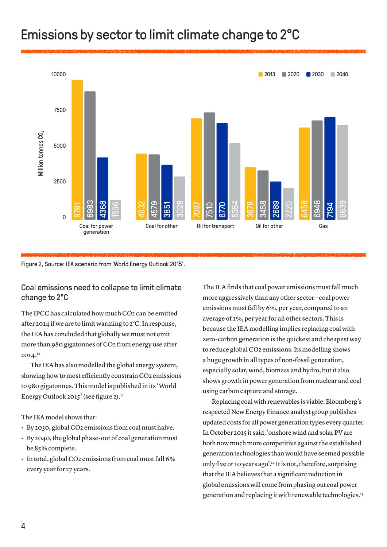# Emissions by sector to limit climate change to 2°C



Figure 2, Source: IEA scenario from 'World Energy Outlook 2015'.

#### Coal emissions need to collapse to limit climate change to 2°C

The IPCC has calculated how much CO2 can be emitted after 2014 if we are to limit warming to 2°C. In response, the IEA has concluded that globally we must not emit more than 980 gigatonnes of CO2 from energy use after  $2014.<sup>12</sup>$ 

The IEA has also modelled the global energy system, showing how to most efficiently constrain CO2 emissions to 980 gigatonnes. This model is published in its 'World Energy Outlook 2015' (see figure 2). $13$ 

The IEA model shows that:

- By 2030, global CO2 emissions from coal must halve.
- $\cdot$  By 2040, the global phase-out of coal generation must be 85 % complete.
- $\cdot$  In total, global CO2 emissions from coal must fall 6% every year for 27 years.

The IEA finds that coal power emissions must fall much more aggressively than any other sector – coal power emissions must fall by 6 %, per year, compared to an average of 1 %, per year for all other sectors. This is because the IEA modelling implies replacing coal with zero-carbon generation is the quickest and cheapest way to reduce global CO2 emissions. Its modelling shows a huge growth in all types of non-fossil generation, especially solar, wind, biomass and hydro, but it also shows growth in power generation from nuclear and coal using carbon capture and storage.

Replacing coal with renewables is viable. Bloomberg's respected New Energy Finance analyst group publishes updated costs for all power generation types every quarter. In October 2015 it said, 'onshore wind and solar PV are both now much more competitive against the established generation technologies than would have seemed possible only five or 10 years ago'.14 It is not, therefore, surprising that the IEA believes that a significant reduction in global emissions will come from phasing out coal power generation and replacing it with renewable technologies.15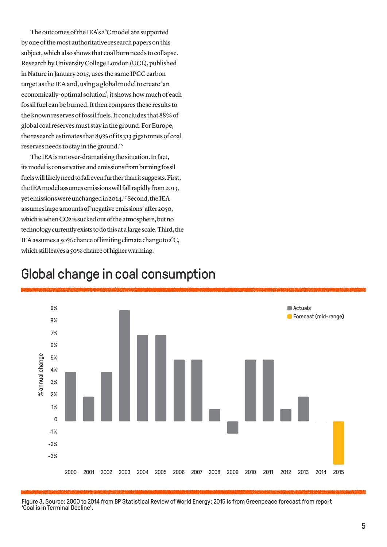The outcomes of the IEA's 2°C model are supported by one of the most authoritative research papers on this subject, which also shows that coal burn needs to collapse. Research by University College London (UCL), published in Nature in January 2015, uses the same IPCC carbon target as the IEA and, using a global model to create 'an economically-optimal solution', it shows how much of each fossil fuel can be burned. It then compares these results to the known reserves of fossil fuels. It concludes that 88 % of global coal reserves must stay in the ground. For Europe, the research estimates that 89 % of its 313 gigatonnes of coal reserves needs to stay in the ground.16

The IEA is not over-dramatising the situation.In fact, its model is conservative and emissions from burning fossil fuels will likely need to fall even further than it suggests.First, the IEA model assumes emissions will fall rapidly from 2013, yet emissions were unchanged in 2014.17 Second, the IEA assumes large amounts of 'negative emissions' after 2050, which is when CO2 is sucked out of the atmosphere, but no technology currently exists to do this at a large scale. Third, the IEA assumes a 50% chance of limiting climate change to 2°C, which still leaves a 50% chance of higher warming.



### Global change in coal consumption

Figure 3, Source: 2000 to 2014 from BP Statistical Review of World Energy; 2015 is from Greenpeace forecast from report 'Coal is in Terminal Decline'.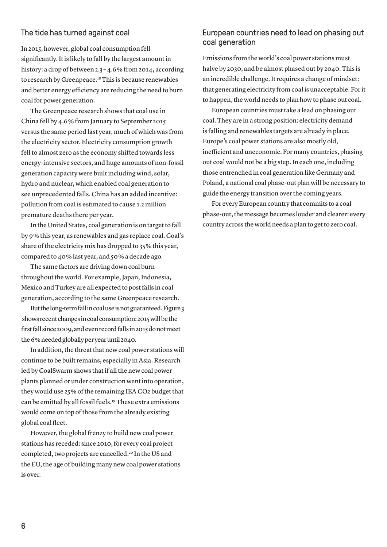#### The tide has turned against coal

In 2015, however, global coal consumption fell significantly. It is likely to fall by the largest amount in history: a drop of between 2.3 – 4.6% from 2014, according to research by Greenpeace.18 This is because renewables and better energy efficiency are reducing the need to burn coal for power generation.

The Greenpeace research shows that coal use in China fell by 4.6 % from January to September 2015 versus the same period last year, much of which was from the electricity sector. Electricity consumption growth fell to almost zero as the economy shifted towards less energy-intensive sectors, and huge amounts of non-fossil generation capacity were built including wind, solar, hydro and nuclear, which enabled coal generation to see unprecedented falls. China has an added incentive: pollution from coal is estimated to cause 1.2 million premature deaths there per year.

In the United States, coal generation is on target to fall by 9 % this year, as renewables and gas replace coal. Coal's share of the electricity mix has dropped to 35 % this year, compared to 40 % last year, and 50 % a decade ago.

The same factors are driving down coal burn throughout the world. For example, Japan, Indonesia, Mexico and Turkey are all expected to post falls in coal generation, according to the same Greenpeace research.

But the long-term fall in coal use is not guaranteed. Figure 3 shows recent changes in coal consumption: 2015 will be the first fall since 2009, and even record falls in 2015 do not meet the 6% needed globally per year until 2040.

In addition, the threat that new coal power stations will continue to be built remains, especially in Asia. Research led by CoalSwarm shows that if all the new coal power plants planned or under construction went into operation, they would use 25 % of the remaining IEA CO2 budget that can be emitted by all fossil fuels.19 These extra emissions would come on top of those from the already existing global coal fleet.

However, the global frenzy to build new coal power stations has receded: since 2010, for every coal project completed, two projects are cancelled.20 In the US and the EU, the age of building many new coal power stations is over.

#### European countries need to lead on phasing out coal generation

Emissions from the world's coal power stations must halve by 2030, and be almost phased out by 2040. This is an incredible challenge. It requires a change of mindset: that generating electricity from coal is unacceptable. For it to happen, the world needs to plan how to phase out coal.

European countries must take a lead on phasing out coal. They are in a strong position: electricity demand is falling and renewables targets are already in place. Europe's coal power stations are also mostly old, inefficient and uneconomic. For many countries, phasing out coal would not be a big step. In each one, including those entrenched in coal generation like Germany and Poland, a national coal phase-out plan will be necessary to guide the energy transition over the coming years.

For every European country that commits to a coal phase-out, the message becomes louder and clearer: every country across the world needs a plan to get to zero coal.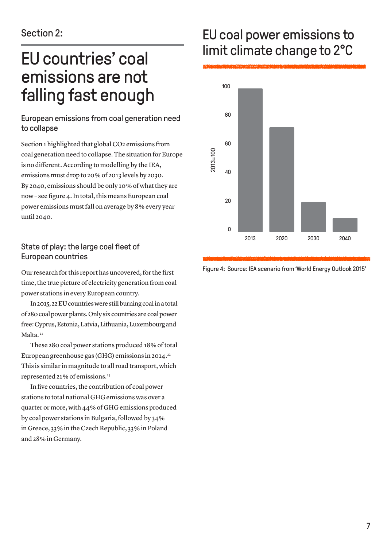# EU countries' coal emissions are not falling fast enough

#### European emissions from coal generation need to collapse

Section 1 highlighted that global CO2 emissions from coal generation need to collapse. The situation for Europe is no different. According to modelling by the IEA, emissions must drop to 20 % of 2013 levels by 2030. By 2040, emissions should be only 10 % of what they are now – see figure 4. In total, this means European coal power emissions must fall on average by 8 % every year until 2040.

#### State of play: the large coal fleet of European countries

Our research for this report has uncovered, for the first time, the true picture of electricity generation from coal power stations in every European country.

In 2015, 22 EU countries were still burning coal in a total of 280 coal power plants. Only six countries are coal power free: Cyprus, Estonia, Latvia, Lithuania, Luxembourg and Malta.<sup>21</sup>

These 280 coal power stations produced 18 % of total European greenhouse gas (GHG) emissions in 2014.<sup>22</sup> This is similar in magnitude to all road transport, which represented 21 % of emissions.23

In five countries, the contribution of coal power stations to total national GHG emissions was over a quarter or more, with 44 % of GHG emissions produced by coal power stations in Bulgaria, followed by 34 % in Greece, 33 % in the Czech Republic, 33 % in Poland and 28 % in Germany.

# EU coal power emissions to limit climate change to 2°C



Figure 4: Source: IEA scenario from 'World Energy Outlook 2015'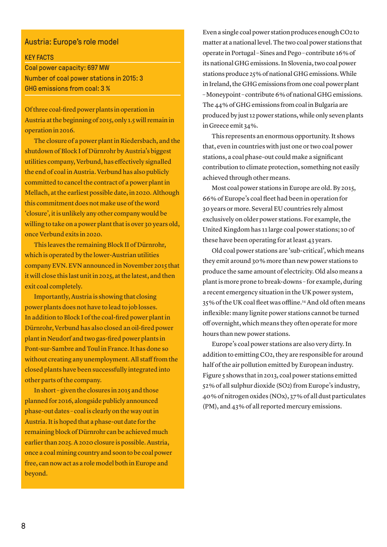#### Austria: Europe's role model

KEY FACTS

Coal power capacity: 697 MW Number of coal power stations in 2015: 3 GHG emissions from coal: 3 %

Of three coal-fired power plants in operation in Austria at the beginning of 2015, only 1.5 will remain in operation in 2016.

The closure of a power plant in Riedersbach, and the shutdown of Block I of Dürnrohr by Austria's biggest utilities company, Verbund, has effectively signalled the end of coal in Austria. Verbund has also publicly committed to cancel the contract of a power plant in Mellach, at the earliest possible date, in 2020. Although this commitment does not make use of the word 'closure', it is unlikely any other company would be willing to take on a power plant that is over 30 years old, once Verbund exits in 2020.

This leaves the remaining Block II of Dürnrohr, which is operated by the lower-Austrian utilities company EVN. EVN announced in November 2015 that it will close this last unit in 2025, at the latest, and then exit coal completely.

Importantly, Austria is showing that closing power plants does not have to lead to job losses. In addition to Block I of the coal-fired power plant in Dürnrohr, Verbund has also closed an oil-fired power plant in Neudorf and two gas-fired power plants in Pont-sur-Sambre and Toul in France. It has done so without creating any unemployment. All staff from the closed plants have been successfully integrated into other parts of the company.

In short – given the closures in 2015 and those planned for 2016, alongside publicly announced phase-out dates – coal is clearly on the way out in Austria. It is hoped that a phase-out date for the remaining block of Dürnrohr can be achieved much earlier than 2025. A 2020 closure is possible. Austria, once a coal mining country and soon to be coal power free, can now act as a role model both in Europe and beyond.

Even a single coal power station produces enough CO2 to matter at a national level. The two coal power stations that operate in Portugal – Sines and Pego – contribute 16 % of its national GHG emissions. In Slovenia, two coal power stations produce 25 % of national GHG emissions. While in Ireland, the GHG emissions from one coal power plant – Moneypoint – contribute 6 % of national GHG emissions. The 44 % of GHG emissions from coal in Bulgaria are produced by just 12 power stations, while only seven plants in Greece emit 34 %.

This represents an enormous opportunity. It shows that, even in countries with just one or two coal power stations, a coal phase-out could make a significant contribution to climate protection, something not easily achieved through other means.

Most coal power stations in Europe are old. By 2015, 66 % of Europe's coal fleet had been in operation for 30 years or more. Several EU countries rely almost exclusively on older power stations. For example, the United Kingdom has 11 large coal power stations; 10 of these have been operating for at least 43 years.

Old coal power stations are 'sub-critical', which means they emit around 30 % more than new power stations to produce the same amount of electricity. Old also means a plant is more prone to break-downs – for example, during a recent emergency situation in the UK power system, 35% of the UK coal fleet was offline.<sup>24</sup> And old often means inflexible: many lignite power stations cannot be turned off overnight, which means they often operate for more hours than new power stations.

Europe's coal power stations are also very dirty. In addition to emitting CO2, they are responsible for around half of the air pollution emitted by European industry. Figure 5 shows that in 2013, coal power stations emitted 52 % of all sulphur dioxide (SO2) from Europe's industry, 40 % of nitrogen oxides (NOx), 37 % of all dust particulates (PM), and 43 % of all reported mercury emissions.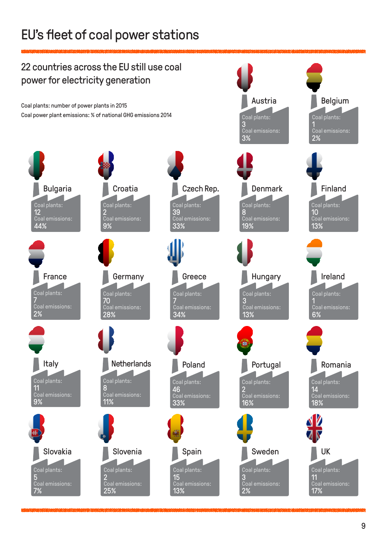# EU's fleet of coal power stations

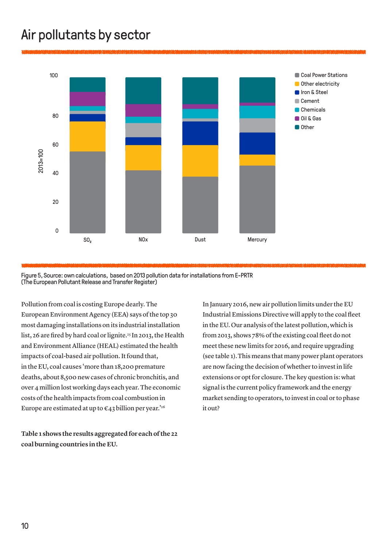# Air pollutants by sector



Figure 5, Source: own calculations, based on 2013 pollution data for installations from E-PRTR (The European Pollutant Release and Transfer Register)

Pollution from coal is costing Europe dearly. The European Environment Agency (EEA) says of the top 30 most damaging installations on its industrial installation list, 26 are fired by hard coal or lignite.25 In 2013, the Health and Environment Alliance (HEAL) estimated the health impacts of coal-based air pollution. It found that, in the EU, coal causes 'more than 18,200 premature deaths, about 8,500 new cases of chronic bronchitis, and over 4 million lost working days each year. The economic costs of the health impacts from coal combustion in Europe are estimated at up to  $\epsilon$ 43 billion per year.<sup>'26</sup>

**Table 1 shows the results aggregated for each of the 22 coal burning countries in the EU.** 

In January 2016, new air pollution limits under the EU Industrial Emissions Directive will apply to the coal fleet in the EU. Our analysis of the latest pollution, which is from 2013, shows 78% of the existing coal fleet do not meet these new limits for 2016, and require upgrading (see table 1).This means that many power plant operators are now facing the decision of whether to invest in life extensions or opt for closure. The key question is: what signal is the current policy framework and the energy market sending to operators, to invest in coal or to phase it out?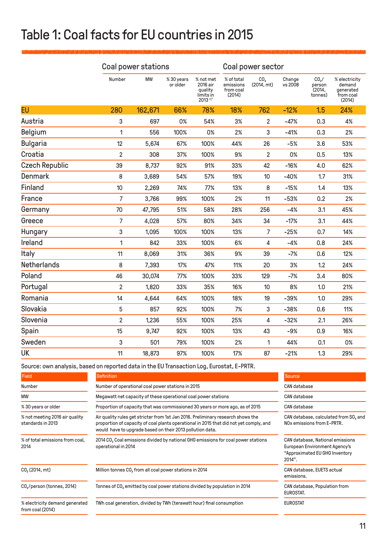# Table 1: Coal facts for EU countries in 2015

|                       | Coal power stations |           |                       |                                                                     | Coal power sector                              |                               |                   |                                                  |                                                             |
|-----------------------|---------------------|-----------|-----------------------|---------------------------------------------------------------------|------------------------------------------------|-------------------------------|-------------------|--------------------------------------------------|-------------------------------------------------------------|
|                       | Number              | <b>MW</b> | %30 years<br>or older | % not met<br>2016 air<br>quality<br>limits in<br>2013 <sup>27</sup> | % of total<br>emissions<br>from coal<br>(2014) | CO <sub>2</sub><br>(2014, mt) | Change<br>vs 2008 | CO <sub>2</sub> /<br>person<br>(2014,<br>tonnes) | % electricity<br>demand<br>generated<br>from coal<br>(2014) |
| <b>EU</b>             | 280                 | 162,671   | 66%                   | 78%                                                                 | 18%                                            | 762                           | $-12%$            | 1.5                                              | 24%                                                         |
| Austria               | 3                   | 697       | 0%                    | 54%                                                                 | 3%                                             | $\overline{2}$                | $-47%$            | 0.3                                              | 4%                                                          |
| <b>Belgium</b>        | 1                   | 556       | 100%                  | 0%                                                                  | 2%                                             | 3                             | $-41%$            | 0.3                                              | 2%                                                          |
| <b>Bulgaria</b>       | 12                  | 5,674     | 67%                   | 100%                                                                | 44%                                            | 26                            | $-5%$             | 3.6                                              | 53%                                                         |
| Croatia               | $\overline{2}$      | 308       | 37%                   | 100%                                                                | 9%                                             | $\overline{2}$                | 0%                | 0.5                                              | 13%                                                         |
| <b>Czech Republic</b> | 39                  | 8,737     | 92%                   | 91%                                                                 | 33%                                            | 42                            | $-16%$            | 4.0                                              | 62%                                                         |
| <b>Denmark</b>        | 8                   | 3,689     | 54%                   | 57%                                                                 | 19%                                            | 10                            | $-40%$            | 1.7                                              | 31%                                                         |
| Finland               | 10                  | 2,269     | 74%                   | 77%                                                                 | 13%                                            | 8                             | $-15%$            | 1.4                                              | 13%                                                         |
| France                | 7                   | 3,766     | 99%                   | 100%                                                                | 2%                                             | 11                            | $-53%$            | 0.2                                              | 2%                                                          |
| Germany               | 70                  | 47,795    | 51%                   | 58%                                                                 | 28%                                            | 256                           | $-4%$             | 3.1                                              | 45%                                                         |
| Greece                | 7                   | 4,028     | 57%                   | 80%                                                                 | 34%                                            | 34                            | $-17%$            | 3.1                                              | 44%                                                         |
| Hungary               | 3                   | 1,095     | 100%                  | 100%                                                                | 13%                                            | $\overline{7}$                | $-25%$            | 0.7                                              | 14%                                                         |
| Ireland               | 1                   | 842       | 33%                   | 100%                                                                | 6%                                             | $\overline{4}$                | $-4%$             | 0.8                                              | 24%                                                         |
| Italy                 | 11                  | 8,069     | 31%                   | 36%                                                                 | 9%                                             | 39                            | $-7%$             | 0.6                                              | 12%                                                         |
| <b>Netherlands</b>    | 8                   | 7,393     | 17%                   | 47%                                                                 | 11%                                            | 20                            | 3%                | 1.2                                              | 24%                                                         |
| Poland                | 46                  | 30,074    | 77%                   | 100%                                                                | 33%                                            | 129                           | $-7%$             | 3.4                                              | 80%                                                         |
| Portugal              | $\overline{2}$      | 1,820     | 33%                   | 35%                                                                 | 16%                                            | 10                            | 8%                | 1.0                                              | 21%                                                         |
| Romania               | 14                  | 4,644     | 64%                   | 100%                                                                | 18%                                            | 19                            | $-39%$            | 1.0                                              | 29%                                                         |
| Slovakia              | 5                   | 857       | 92%                   | 100%                                                                | 7%                                             | 3                             | $-38%$            | 0.6                                              | 11%                                                         |
| Slovenia              | $\overline{2}$      | 1,236     | 55%                   | 100%                                                                | 25%                                            | 4                             | $-32%$            | 2.1                                              | 26%                                                         |
| Spain                 | 15                  | 9,747     | 92%                   | 100%                                                                | 13%                                            | 43                            | $-9%$             | 0.9                                              | 16%                                                         |
| Sweden                | 3                   | 501       | 79%                   | 100%                                                                | 2%                                             | 1                             | 44%               | 0.1                                              | 0%                                                          |
| <b>UK</b>             | 11                  | 18,873    | 97%                   | 100%                                                                | 17%                                            | 87                            | $-21%$            | 1.3                                              | 29%                                                         |

Source: own analysis, based on reported data in the EU Transaction Log, Eurostat, E-PRTR.

| Field                                               | Definition                                                                                                                                                                                                                              | Source                                                                                                        |  |  |
|-----------------------------------------------------|-----------------------------------------------------------------------------------------------------------------------------------------------------------------------------------------------------------------------------------------|---------------------------------------------------------------------------------------------------------------|--|--|
| Number                                              | Number of operational coal power stations in 2015                                                                                                                                                                                       | <b>CAN</b> database                                                                                           |  |  |
| MW                                                  | Megawatt net capacity of these operational coal power stations                                                                                                                                                                          | CAN database                                                                                                  |  |  |
| % 30 years or older                                 | Proportion of capacity that was commissioned 30 years or more ago, as of 2015                                                                                                                                                           | CAN database                                                                                                  |  |  |
| % not meeting 2016 air quality<br>standards in 2013 | Air quality rules get stricter from 1st Jan 2016. Preliminary research shows the<br>proportion of capacity of coal plants operational in 2015 that did not yet comply, and<br>would have to upgrade based on their 2013 pollution data. | CAN database, calculated from SO, and<br>NO <sub>x</sub> emissions from E-PRTR.                               |  |  |
| % of total emissions from coal,<br>2014             | 2014 CO <sub>2</sub> Coal emissions divided by national GHG emissions for coal power stations<br>operational in 2014                                                                                                                    | CAN database, National emissions<br>European Environment Agency's<br>"Approximated EU GHG Inventory<br>2014". |  |  |
| CO <sub>2</sub> (2014, mt)                          | Million tonnes CO, from all coal power stations in 2014                                                                                                                                                                                 | CAN database, EUETS actual<br>emissions.                                                                      |  |  |
| CO <sub>2</sub> /person (tonnes, 2014)              | Tonnes of CO, emitted by coal power stations divided by population in 2014                                                                                                                                                              | CAN database, Population from<br>EUROSTAT.                                                                    |  |  |
| % electricity demand generated<br>from coal (2014)  | TWh coal generation, divided by TWh (terawatt hour) final consumption                                                                                                                                                                   | <b>EUROSTAT</b>                                                                                               |  |  |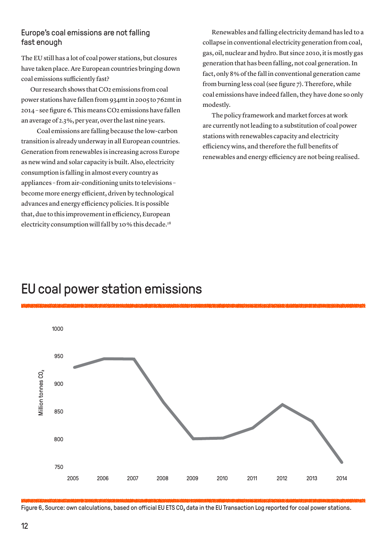#### Europe's coal emissions are not falling fast enough

The EU still has a lot of coal power stations, but closures have taken place. Are European countries bringing down coal emissions sufficiently fast?

Our research shows that CO2 emissions from coal power stations have fallen from 934mt in 2005 to 762mt in 2014 – see figure 6. This means CO2 emissions have fallen an average of 2.3 %, per year, over the last nine years.

Coal emissions are falling because the low-carbon transition is already underway in all European countries. Generation from renewables is increasing across Europe as new wind and solar capacity is built. Also, electricity consumption is falling in almost every country as appliances – from air-conditioning units to televisions – become more energy efficient, driven by technological advances and energy efficiency policies. It is possible that, due to this improvement in efficiency, European electricity consumption will fall by 10% this decade.<sup>28</sup>

Renewables and falling electricity demand has led to a collapse in conventional electricity generation from coal, gas, oil, nuclear and hydro. But since 2010, it is mostly gas generation that has been falling, not coal generation. In fact, only 8 % of the fall in conventional generation came from burning less coal (see figure 7). Therefore, while coal emissions have indeed fallen, they have done so only modestly.

The policy framework and market forces at work are currently not leading to a substitution of coal power stations with renewables capacity and electricity efficiency wins, and therefore the full benefits of renewables and energy efficiency are not being realised.

# 1000 950 **Million tonnes CO**, Million tonnes CO $_{2}$ 900 850 800 750 2005 2006 2007 2008 2009 2010 2011 2012 2013 2014

### EU coal power station emissions

Figure 6, Source: own calculations, based on official EU ETS CO, data in the EU Transaction Log reported for coal power stations.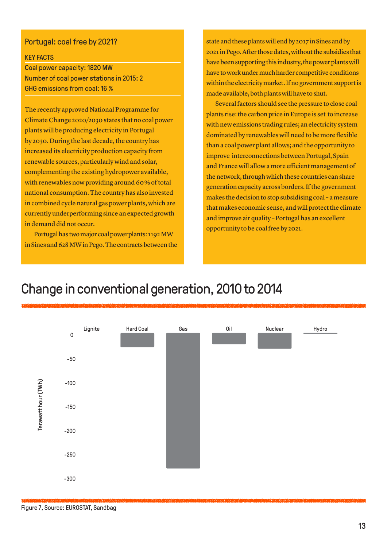#### Portugal: coal free by 2021?

#### KEY FACTS

Coal power capacity: 1820 MW Number of coal power stations in 2015: 2 GHG emissions from coal: 16 %

The recently approved National Programme for Climate Change 2020/2030 states that no coal power plants will be producing electricity in Portugal by 2030. During the last decade, the country has increased its electricity production capacity from renewable sources, particularly wind and solar, complementing the existing hydropower available, with renewables now providing around 60% of total national consumption. The country has also invested in combined cycle natural gas power plants, which are currently underperforming since an expected growth in demand did not occur.

Portugal has two major coal power plants: 1192 MW in Sines and 628 MW in Pego. The contracts between the state and these plants will end by 2017 in Sines and by 2021 in Pego. After those dates, without the subsidies that have been supporting this industry, the power plants will have to work under much harder competitive conditions within the electricity market. If no government support is made available, both plants will have to shut.

Several factors should see the pressure to close coal plants rise: the carbon price in Europe is set to increase with new emissions trading rules; an electricity system dominated by renewables will need to be more flexible than a coal power plant allows; and the opportunity to improve interconnections between Portugal, Spain and France will allow a more efficient management of the network, through which these countries can share generation capacity across borders. If the government makes the decision to stop subsidising coal – a measure that makes economic sense, and will protect the climate and improve air quality – Portugal has an excellent opportunity to be coal free by 2021.

### Change in conventional generation, 2010 to 2014



Figure 7, Source: EUROSTAT, Sandbag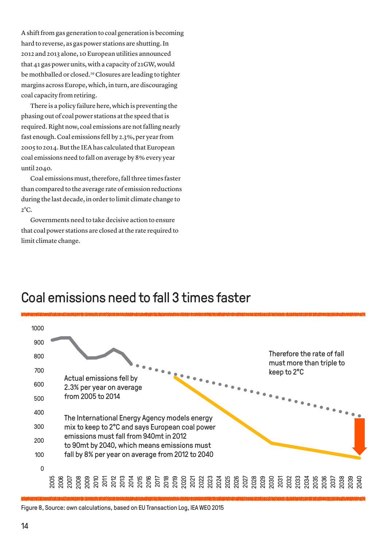A shift from gas generation to coal generation is becoming hard to reverse, as gas power stations are shutting. In 2012 and 2013 alone, 10 European utilities announced that 41 gas power units, with a capacity of 21GW, would be mothballed or closed.<sup>29</sup> Closures are leading to tighter margins across Europe, which, in turn, are discouraging coal capacity from retiring.

There is a policy failure here, which is preventing the phasing out of coal power stations at the speed that is required. Right now, coal emissions are not falling nearly fast enough. Coal emissions fell by 2.3 %, per year from 2005 to 2014. But the IEA has calculated that European coal emissions need to fall on average by 8 % every year until 2040.

Coal emissions must, therefore, fall three times faster than compared to the average rate of emission reductions during the last decade, in order to limit climate change to  $2^{\circ}C$ .

Governments need to take decisive action to ensure that coal power stations are closed at the rate required to limit climate change.



### Coal emissions need to fall 3 times faster

Figure 8, Source: own calculations, based on EU Transaction Log, IEA WEO 2015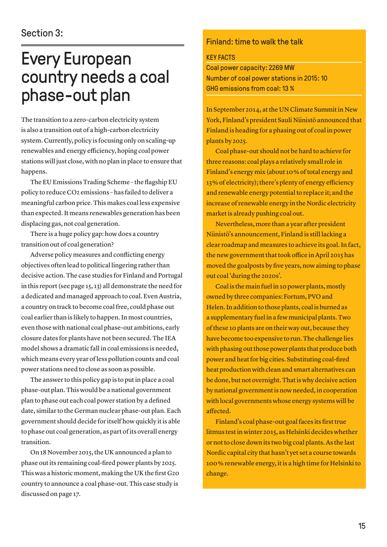# Every European country needs a coal phase-out plan

The transition to a zero-carbon electricity system is also a transition out of a high-carbon electricity system. Currently, policy is focusing only on scaling-up renewables and energy efficiency, hoping coal power stations will just close, with no plan in place to ensure that happens.

The EU Emissions Trading Scheme – the flagship EU policy to reduce CO2 emissions – has failed to deliver a meaningful carbon price. This makes coal less expensive than expected. It means renewables generation has been displacing gas, not coal generation.

There is a huge policy gap: how does a country transition out of coal generation?

Adverse policy measures and conflicting energy objectives often lead to political lingering rather than decisive action. The case studies for Finland and Portugal in this report (see page 15, 13) all demonstrate the need for a dedicated and managed approach to coal. Even Austria, a country on track to become coal free, could phase out coal earlier than is likely to happen. In most countries, even those with national coal phase-out ambitions, early closure dates for plants have not been secured. The IEA model shows a dramatic fall in coal emissions is needed, which means every year of less pollution counts and coal power stations need to close as soon as possible.

The answer to this policy gap is to put in place a coal phase-out plan. This would be a national government plan to phase out each coal power station by a defined date, similar to the German nuclear phase-out plan. Each government should decide for itself how quickly it is able to phase out coal generation, as part of its overall energy transition.

On 18 November 2015, the UK announced a plan to phase out its remaining coal-fired power plants by 2025. This was a historic moment, making the UK the first G20 country to announce a coal phase-out. This case study is discussed on page 17.

#### Finland: time to walk the talk

#### KEY FACTS

Coal power capacity: 2269 MW Number of coal power stations in 2015: 10 GHG emissions from coal: 13 %

In September 2014, at the UN Climate Summit in New York, Finland's president Sauli Niinistö announced that Finland is heading for a phasing out of coal in power plants by 2025.

Coal phase-out should not be hard to achieve for three reasons: coal plays a relatively small role in Finland's energy mix (about 10 % of total energy and 13 % of electricity); there's plenty of energy efficiency and renewable energy potential to replace it; and the increase of renewable energy in the Nordic electricity market is already pushing coal out.

Nevertheless, more than a year after president Niinistö's announcement, Finland is still lacking a clear roadmap and measures to achieve its goal. In fact, the new government that took office in April 2015 has moved the goalposts by five years, now aiming to phase out coal 'during the 2020s'.

Coal is the main fuel in 10 power plants, mostly owned by three companies: Fortum, PVO and Helen. In addition to those plants, coal is burned as a supplementary fuel in a few municipal plants. Two of these 10 plants are on their way out, because they have become too expensive to run. The challenge lies with phasing out those power plants that produce both power and heat for big cities. Substituting coal-fired heat production with clean and smart alternatives can be done, but not overnight. That is why decisive action by national government is now needed, in cooperation with local governments whose energy systems will be affected.

Finland's coal phase-out goal faces its first true litmus test in winter 2015, as Helsinki decides whether or not to close down its two big coal plants. As the last Nordic capital city that hasn't yet set a course towards 100 % renewable energy, it is a high time for Helsinki to change.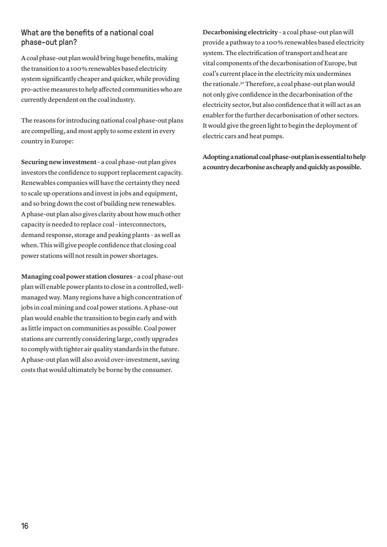#### What are the benefits of a national coal phase-out plan?

A coal phase-out plan would bring huge benefits, making the transition to a 100 % renewables based electricity system significantly cheaper and quicker, while providing pro-active measures to help affected communities who are currently dependent on the coal industry.

The reasons for introducing national coal phase-out plans are compelling, and most apply to some extent in every country in Europe:

**Securing new investment** – a coal phase-out plan gives investors the confidence to support replacement capacity. Renewables companies will have the certainty they need to scale up operations and invest in jobs and equipment, and so bring down the cost of building new renewables. A phase-out plan also gives clarity about how much other capacity is needed to replace coal – interconnectors, demand response, storage and peaking plants – as well as when. This will give people confidence that closing coal power stations will not result in power shortages.

**Managing coal power station closures** – a coal phase-out plan will enable power plants to close in a controlled, wellmanaged way. Many regions have a high concentration of jobs in coal mining and coal power stations. A phase-out plan would enable the transition to begin early and with as little impact on communities as possible. Coal power stations are currently considering large, costly upgrades to comply with tighter air quality standards in the future. A phase-out plan will also avoid over-investment, saving costs that would ultimately be borne by the consumer.

**Decarbonising electricity** – a coal phase-out plan will provide a pathway to a 100 % renewables based electricity system.The electrification of transport and heat are vital components of the decarbonisation of Europe, but coal's current place in the electricity mix undermines the rationale.30 Therefore, a coal phase-out plan would not only give confidence in the decarbonisation of the electricity sector, but also confidence that it will act as an enabler for the further decarbonisation of other sectors. It would give the green light to begin the deployment of electric cars and heat pumps.

**Adopting a national coal phase-out plan is essential to help a country decarbonise as cheaply and quickly as possible.**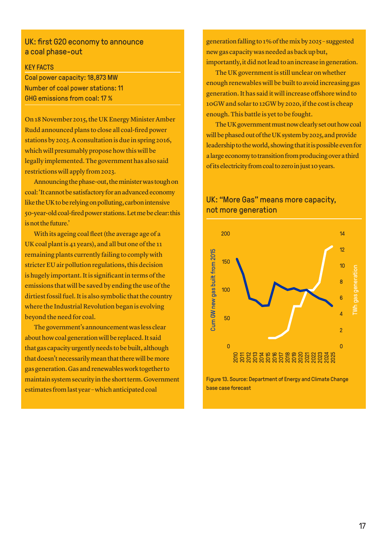#### UK: first G20 economy to announce a coal phase-out

#### KEY FACTS

Coal power capacity: 18,873 MW Number of coal power stations: 11 GHG emissions from coal: 17 %

On 18 November 2015, the UK Energy Minister Amber Rudd announced plans to close all coal-fired power stations by 2025. A consultation is due in spring 2016, which will presumably propose how this will be legally implemented. The government has also said restrictions will apply from 2023.

Announcing the phase-out, the minister was tough on coal: 'It cannot be satisfactory for an advanced economy like the UK to be relying on polluting, carbon intensive 50-year-old coal-fired power stations. Let me be clear: this is not the future.'

With its ageing coal fleet (the average age of a UK coal plant is 41 years), and all but one of the 11 remaining plants currently failing to comply with stricter EU air pollution regulations, this decision is hugely important. It is significant in terms of the emissions that will be saved by ending the use of the dirtiest fossil fuel. It is also symbolic that the country where the Industrial Revolution began is evolving beyond the need for coal.

The government's announcement was less clear about how coal generation will be replaced. It said that gas capacity urgently needs to be built, although that doesn't necessarily mean that there will be more gas generation. Gas and renewables work together to maintain system security in the short term. Government estimates from last year – which anticipated coal

generation falling to 1 % of the mix by 2025 – suggested new gas capacity was needed as back up but, importantly, it did not lead to an increase in generation.

The UK government is still unclear on whether enough renewables will be built to avoid increasing gas generation. It has said it will increase offshore wind to 10GW and solar to 12GW by 2020, if the cost is cheap enough. This battle is yet to be fought.

The UK government must now clearly set out how coal will be phased out of the UK system by 2025, and provide leadership to the world, showing that it is possible even for a large economy to transition from producing over a third of its electricity from coal to zero in just 10 years.



#### UK: "More Gas" means more capacity, not more generation

Figure 13. Source: Department of Energy and Climate Change base case forecast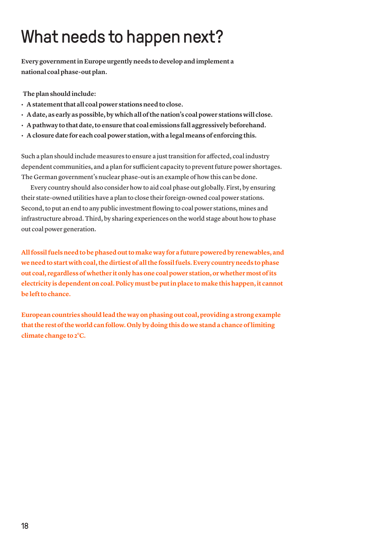# What needs to happen next?

**Every government in Europe urgently needs to develop and implement a national coal phase-out plan.** 

**The plan should include:** 

- **Astatementthat all coalpower stationsneedtoclose.**
- **Adate, as early aspossible,by whichallofthenation's coalpower stations will close.**
- **Apathway tothatdate,toensure that coal emissions fall aggressivelybeforehand.**
- **Aclosuredate for eachcoalpower station, witha legalmeansof enforcing this.**

Such a plan should include measures to ensure a just transition for affected, coal industry dependent communities, and a plan for sufficient capacity to prevent future power shortages. The German government's nuclear phase-out is an example of how this can be done.

Every country should also consider how to aid coal phase out globally. First, by ensuring their state-owned utilities have a plan to close their foreign-owned coal power stations. Second, to put an end to any public investment flowing to coal power stations, mines and infrastructure abroad. Third, by sharing experiences on the world stage about how to phase out coal power generation.

**Allfossilfuelsneedtobephasedouttomake way for a futurepoweredby renewables, and weneedtostart withcoal,thedirtiestof allthe fossilfuels.Every countryneeds tophase out coal, regardlessof whether itonlyhasone coalpower station,or whethermostofits electricity isdependentoncoal.Policymustbeputinplace tomake thishappen,it cannot be left to chance.** 

**European countries should lead the way on phasing out coal, providing a strong example that the rest of the world can follow. Only by doing this do we stand a chance of limiting climate change to 2°C.**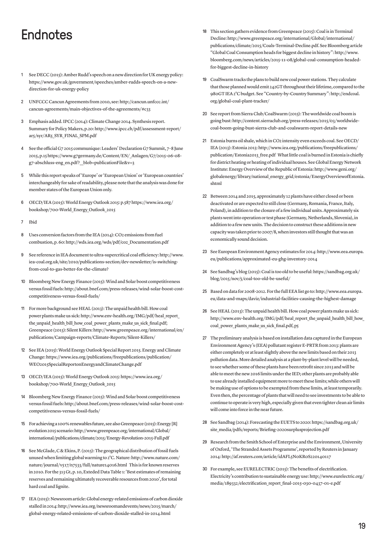# Endnotes

- See DECC (2015): Amber Rudd's speech on a new direction for UK energy policy: [https://www.gov.uk/government/speeches/amber-rudds-speech-on-a-new](https://www.gov.uk/government/speeches/amber-rudds-speech-on-a-new-direction-for-uk-energy-policy%20)[direction-for-uk-energy-policy](https://www.gov.uk/government/speeches/amber-rudds-speech-on-a-new-direction-for-uk-energy-policy%20)
- 2 UNFCCC Cancun Agreements from 2010, see: [http://cancun.unfccc.int/](http://cancun.unfccc.int/cancun-agreements/main-objectives-of-the-agreements/#c33) [cancun-agreements/main-objectives-of-the-agreements/#c33](http://cancun.unfccc.int/cancun-agreements/main-objectives-of-the-agreements/#c33)
- 3 Emphasis added. IPCC (2014): Climate Change 2014. Synthesis report. Summary for Policy Makers, p.20: [http://www.ipcc.ch/pdf/assessment-report/](http://www.ipcc.ch/pdf/assessment-report/ar5/syr/AR5_SYR_FINAL_SPM.pdf) [ar5/syr/AR5\\_SYR\\_FINAL\\_SPM.pdf](http://www.ipcc.ch/pdf/assessment-report/ar5/syr/AR5_SYR_FINAL_SPM.pdf)
- 4 See the official G7 2015 communique: Leaders' Declaration G7 Summit, 7–8 June 2015, p.15 [https://www.g7germany.de/Content/EN/\\_Anlagen/G7/2015-06-08](https://www.g7germany.de/Content/EN/_Anlagen/G7/2015-06-08-g7-abschluss-eng_en.pdf%3F__blob%3DpublicationFile%26v%3D3) g7-abschluss-eng\_en.pdf?\_blob=publicationFile&v=3
- 5 While this report speaks of 'Europe' or 'European Union' or 'European countries' interchangeably for sake of readability, please note that the analysis was done for member states of the European Union only.
- 6 OECD/IEA (2015): World Energy Outlook 2015: p.587 [https://www.iea.org/](https://www.iea.org/bookshop/700-World_Energy_Outlook_2015) [bookshop/700-World\\_Energy\\_Outlook\\_2015](https://www.iea.org/bookshop/700-World_Energy_Outlook_2015)
- 7 Ibid
- Uses conversion factors from the IEA (2014): CO2 emissions from fuel combustion, p. 60: [http://wds.iea.org/wds/pdf/co2\\_Documentation.pdf](http://wds.iea.org/wds/pdf/co2_Documentation.pdf)
- 9 See reference in IEA document to ultra-supercritical coal efficiency: [http://www.](http://www.iea-coal.org.uk/site/2010/publications-section/dev-newsletter/is-switching-from-coal-to-gas-better-for-the-climate%3F) [iea-coal.org.uk/site/2010/publications-section/dev-newsletter/is-switching](http://www.iea-coal.org.uk/site/2010/publications-section/dev-newsletter/is-switching-from-coal-to-gas-better-for-the-climate%3F)[from-coal-to-gas-better-for-the-climate?](http://www.iea-coal.org.uk/site/2010/publications-section/dev-newsletter/is-switching-from-coal-to-gas-better-for-the-climate%3F)
- 10 Bloomberg New Energy Finance (2015): Wind and Solar boost competitiveness versus fossil fuels: [http://about.bnef.com/press-releases/wind-solar-boost-cost](http://about.bnef.com/press-releases/wind-solar-boost-cost-competitiveness-versus-fossil-fuels/)[competitiveness-versus-fossil-fuels/](http://about.bnef.com/press-releases/wind-solar-boost-cost-competitiveness-versus-fossil-fuels/)
- 11 For more background see HEAL (2013): The unpaid health bill. How coal power plants make us sick: [http://www.env-health.org/IMG/pdf/heal\\_report\\_](http://www.env-health.org/IMG/pdf/heal_report_the_unpaid_health_bill_how_coal_power_plants_make_us_sick_final.pdf) the unpaid health bill how coal\_power\_plants\_make\_us\_sick\_final.pdf; Greenpeace (2013): Silent Killers: [http://www.greenpeace.org/international/en/](http://www.greenpeace.org/international/en/publications/Campaign-reports/Climate-Reports/Silent-Killers/) [publications/Campaign-reports/Climate-Reports/Silent-Killers/](http://www.greenpeace.org/international/en/publications/Campaign-reports/Climate-Reports/Silent-Killers/)
- 12 See IEA (2015): World Energy Outlook Special Report 2015. Energy and Climate Change: [https://www.iea.org/publications/freepublications/publication/](https://www.iea.org/publications/freepublications/publication/WEO2015SpecialReportonEnergyandClimateChange.pdf) [WEO2015SpecialReportonEnergyandClimateChange.pdf](https://www.iea.org/publications/freepublications/publication/WEO2015SpecialReportonEnergyandClimateChange.pdf)
- 13 OECD/IEA (2015): World Energy Outlook 2015: [https://www.iea.org/](https://www.iea.org/bookshop/700-World_Energy_Outlook_2015) [bookshop/700-World\\_Energy\\_Outlook\\_2015](https://www.iea.org/bookshop/700-World_Energy_Outlook_2015)
- 14 Bloomberg New Energy Finance (2015): Wind and Solar boost competitiveness versus fossil fuels: [http://about.bnef.com/press-releases/wind-solar-boost-cost](http://about.bnef.com/press-releases/wind-solar-boost-cost-competitiveness-versus-fossil-fuels/)[competitiveness-versus-fossil-fuels/](http://about.bnef.com/press-releases/wind-solar-boost-cost-competitiveness-versus-fossil-fuels/)
- 15 For achieving a 100 % renewables future, see also Greenpeace (2015): Energy [R] evolution 2015 scenario: [http://www.greenpeace.org/international/Global/](http://www.greenpeace.org/international/Global/international/publications/climate/2015/Energy-Revolution-2015-Full.pdf) [international/publications/climate/2015/Energy-Revolution-2015-Full.pdf](http://www.greenpeace.org/international/Global/international/publications/climate/2015/Energy-Revolution-2015-Full.pdf)
- 16 See McGlade, C & Ekins, P. (2015): The geographical distribution of fossil fuels unused when limiting global warming to 2°C. Nature: [http://www.nature.com/](http://www.nature.com/nature/journal/v517/n7533/full/nature14016.html) [nature/journal/v517/n7533/full/nature14016.html](http://www.nature.com/nature/journal/v517/n7533/full/nature14016.html) This is for known reserves in 2010. For the 313 Gt, p. 10, Exteded Data Table 1: 'Best estimates of remaining reserves and remaining ultimately recoverable resources from 2010', for total hard coal and lignite.
- 17 IEA (2015): Newsroom article: Global energy-related emissions of carbon dioxide stalled in 2014: [http://www.iea.org/newsroomandevents/news/2015/march/](http://www.iea.org/newsroomandevents/news/2015/march/global-energy-related-emissions-of-carbon-dioxide-stalled-in-2014.html) [global-energy-related-emissions-of-carbon-dioxide-stalled-in-2014.html](http://www.iea.org/newsroomandevents/news/2015/march/global-energy-related-emissions-of-carbon-dioxide-stalled-in-2014.html)
- 18 This section gathers evidence from Greenpeace (2015): Coal is in Terminal Decline[: http://www.greenpeace.org/international/Global/international/](http://www.greenpeace.org/international/Global/international/publications/climate/2015/Coals-Terminal-Decline.pdf) [publications/climate/2015/Coals-Terminal-Decline.pdf.](http://www.greenpeace.org/international/Global/international/publications/climate/2015/Coals-Terminal-Decline.pdf) See Bloomberg article "Global Coal Consumption heads for biggest decline in history": [http://www.](http://www.bloomberg.com/news/articles/2015-11-08/global-coal-consumption-headed-for-biggest-decline-in-history) [bloomberg.com/news/articles/2015-11-08/global-coal-consumption-headed](http://www.bloomberg.com/news/articles/2015-11-08/global-coal-consumption-headed-for-biggest-decline-in-history)[for-biggest-decline-in-history](http://www.bloomberg.com/news/articles/2015-11-08/global-coal-consumption-headed-for-biggest-decline-in-history)
- 19 CoalSwarm tracks the plans to build new coal power stations. They calculate that those planned would emit 242GT throughout their lifetime, compared to the 980GT IEA 2°C budget. See "Country-by-Country Summary": [http://endcoal.](http://endcoal.org/global-coal-plant-tracker/%20) [org/global-coal-plant-tracker/](http://endcoal.org/global-coal-plant-tracker/%20)
- 20 See report from Sierra Club/CoalSwarm (2015): The worldwide coal boom is going bust: [http://content.sierraclub.org/press-releases/2015/03/worldwide](http://content.sierraclub.org/press-releases/2015/03/worldwide-coal-boom-going-bust-sierra-club-and-coalswarm-report-details-new)[coal-boom-going-bust-sierra-club-and-coalswarm-report-details-new](http://content.sierraclub.org/press-releases/2015/03/worldwide-coal-boom-going-bust-sierra-club-and-coalswarm-report-details-new)
- 21 Estonia burns oil shale, which in CO2 intensity even exceeds coal. See OECD/ IEA (2013): Estonia 2013: [http://www.iea.org/publications/freepublications/](http://www.iea.org/publications/freepublications/publication/Estonia2013_free.pdf) publication/Estonia2013 free.pdf What little coal is burned in Estonia is chiefly for district heating or heating of individual houses. See Global Energy Network Institute: Energy Overview of the Republic of Estonia: [http://www.geni.org/](http://www.geni.org/globalenergy/library/national_energy_grid/estonia/EnergyOverviewofEstonia.shtml) [globalenergy/library/national\\_energy\\_ grid/estonia/EnergyOverviewofEstonia.](http://www.geni.org/globalenergy/library/national_energy_grid/estonia/EnergyOverviewofEstonia.shtml) [shtml](http://www.geni.org/globalenergy/library/national_energy_grid/estonia/EnergyOverviewofEstonia.shtml)
- 22 Between 2014 and 2015, approximately 12 plants have either closed or been deactivated or are expected to still close (Germany, Romania, France, Italy, Poland), in addition to the closure of a few individual units. Approximately six plants went into operation or test phase (Germany, Netherlands, Slovenia), in addition to a few new units. The decision to construct these additions in new capacity was taken prior to 2007/8, when investors still thought that was an economically sound decision.
- 23 See European Environment Agency estimates for 2014: [http://www.eea.europa.](http://www.eea.europa.eu/publications/approximated-eu-ghg-inventory-2014) [eu/publications/approximated-eu-ghg-inventory-2014](http://www.eea.europa.eu/publications/approximated-eu-ghg-inventory-2014)
- 24 See Sandbag's blog (2015): Coal is too old to be useful: [https://sandbag.org.uk/](https://sandbag.org.uk/blog/2015/nov/5/coal-too-old-be-useful/) [blog/2015/nov/5/coal-too-old-be-useful/](https://sandbag.org.uk/blog/2015/nov/5/coal-too-old-be-useful/)
- 25 Based on data for 2008-2012. For the full EEA list go to: [http://www.eea.europa.](http://www.eea.europa.eu/data-and-maps/daviz/industrial-facilities-causing-the-highest-damage) [eu/data-and-maps/daviz/industrial-facilities-causing-the-highest-damage](http://www.eea.europa.eu/data-and-maps/daviz/industrial-facilities-causing-the-highest-damage)
- 26 See HEAL (2013): The unpaid health bill. How coal power plants make us sick: [http://www.env-health.org/IMG/pdf/heal\\_report\\_the\\_unpaid\\_health\\_bill\\_how\\_](http://www.env-health.org/IMG/pdf/heal_report_the_unpaid_health_bill_how_coal_power_plants_make_us_sick_final.pdf) [coal\\_ power\\_ plants\\_make\\_us\\_sick\\_final.pdf,](http://www.env-health.org/IMG/pdf/heal_report_the_unpaid_health_bill_how_coal_power_plants_make_us_sick_final.pdf) p5
- 27 The preliminary analysis is based on installation data captured in the European Environment Agency's (EEA) pollutant register E-PRTR from 2013: plants are either completely or at least slightly above the new limits based on their 2013 pollution data. More detailed analysis at a plant-by-plant level will be needed, to see whether some of these plants have been retrofit since 2013 and will be able to meet the new 2016 limits under the IED; other plants are probably able to use already installed equipment more to meet these limits; while others will be making use of options to be exempted from these limits, at least temporarily. Even then, the percentage of plants that will need to see investments to be able to continue to operate is very high, especially given that even tighter clean air limits will come into force in the near future.
- 28 See Sandbag (2014): Forecasting the EUETS to 2020: [https://sandbag.org.uk/](https://sandbag.org.uk/site_media/pdfs/reports/Briefing-2020surplusprojection.pdf) [site\\_media/pdfs/reports/Briefing-2020surplusprojection.pdf](https://sandbag.org.uk/site_media/pdfs/reports/Briefing-2020surplusprojection.pdf)
- 29 Research from the Smith School of Enterprise and the Environment, University of Oxford, 'The Stranded Assets Programme', reported by Reuters in January 2014:<http://af.reuters.com/article/idAFL5N0KR0S220140117>
- 30 For example, see EURELECTRIC (2015): The benefits of electrification. Electricity's contribution to sustainable energy use: [http://www.eurelectric.org/](http://www.eurelectric.org/media/189332/electrification_report_final-2015-030-0437-01-e.pdf) [media/189332/electrification\\_report\\_final-2015-030-0437-01-e.pdf](http://www.eurelectric.org/media/189332/electrification_report_final-2015-030-0437-01-e.pdf)